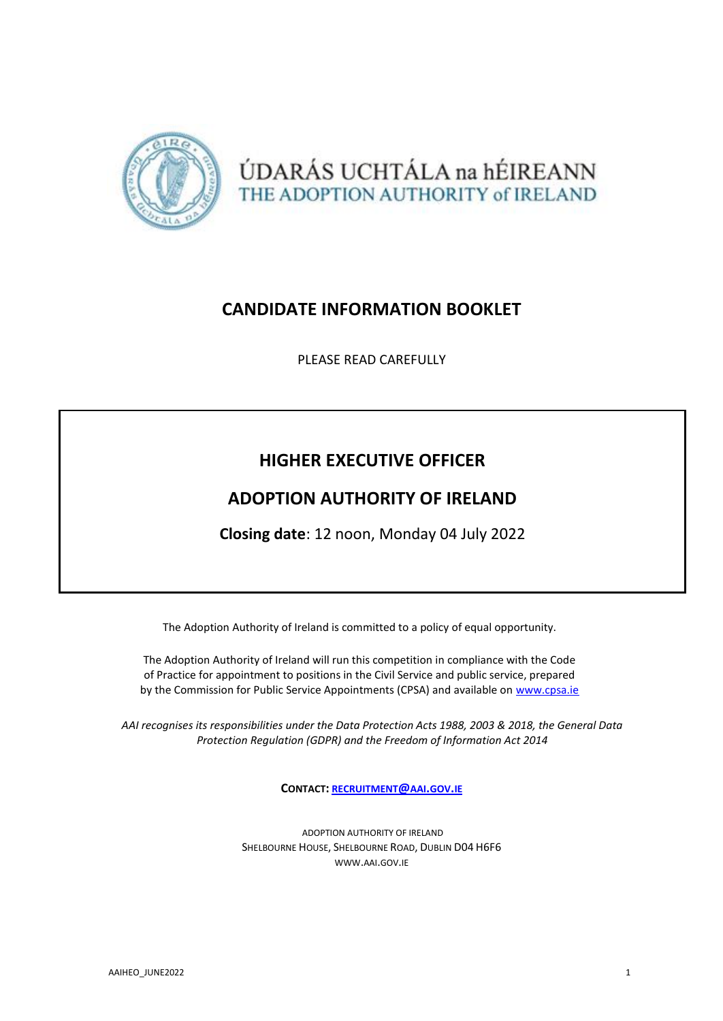



# **CANDIDATE INFORMATION BOOKLET**

PLEASE READ CAREFULLY

# **HIGHER EXECUTIVE OFFICER**

# **ADOPTION AUTHORITY OF IRELAND**

**Closing date**: 12 noon, Monday 04 July 2022

The Adoption Authority of Ireland is committed to a policy of equal opportunity.

The Adoption Authority of Ireland will run this competition in compliance with the Code of Practice for appointment to positions in the Civil Service and public service, prepared by the Commission for Public Service Appointments (CPSA) and available on [www.cpsa.ie](http://www.cpsa.ie/)

*AAI recognises its responsibilities under the Data Protection Acts 1988, 2003 & 2018, the General Data Protection Regulation (GDPR) and the Freedom of Information Act 2014*

**CONTACT: [RECRUITMENT](mailto:recruitment@aai.gov.ie)@AAI.GOV.IE**

ADOPTION AUTHORITY OF IRELAND SHELBOURNE HOUSE, SHELBOURNE ROAD, DUBLIN D04 H6F6 [WWW](http://www.aai.gov.ie/).AAI.GOV.IE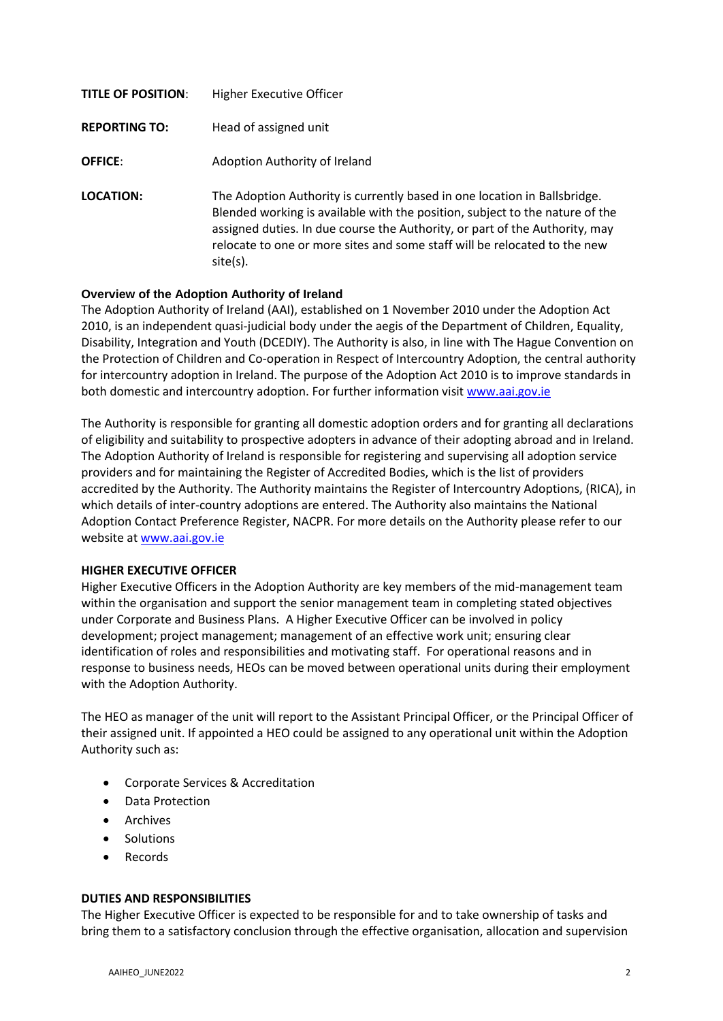| <b>TITLE OF POSITION:</b> | Higher Executive Officer                                                                                                                                                                                                                                                                                                             |
|---------------------------|--------------------------------------------------------------------------------------------------------------------------------------------------------------------------------------------------------------------------------------------------------------------------------------------------------------------------------------|
| <b>REPORTING TO:</b>      | Head of assigned unit                                                                                                                                                                                                                                                                                                                |
| <b>OFFICE:</b>            | Adoption Authority of Ireland                                                                                                                                                                                                                                                                                                        |
| LOCATION:                 | The Adoption Authority is currently based in one location in Ballsbridge.<br>Blended working is available with the position, subject to the nature of the<br>assigned duties. In due course the Authority, or part of the Authority, may<br>relocate to one or more sites and some staff will be relocated to the new<br>$site(s)$ . |

### **Overview of the Adoption Authority of Ireland**

The Adoption Authority of Ireland (AAI), established on 1 November 2010 under the Adoption Act 2010, is an independent quasi-judicial body under the aegis of the Department of Children, Equality, Disability, Integration and Youth (DCEDIY). The Authority is also, in line with The Hague Convention on the Protection of Children and Co-operation in Respect of Intercountry Adoption, the central authority for intercountry adoption in Ireland. The purpose of the Adoption Act 2010 is to improve standards in both domestic and intercountry adoption. For further information visit [www.aai.gov.ie](http://www.aai.gov.ie/)

The Authority is responsible for granting all domestic adoption orders and for granting all declarations of eligibility and suitability to prospective adopters in advance of their adopting abroad and in Ireland. The Adoption Authority of Ireland is responsible for registering and supervising all adoption service providers and for maintaining the Register of Accredited Bodies, which is the list of providers accredited by the Authority. The Authority maintains the Register of Intercountry Adoptions, (RICA), in which details of inter-country adoptions are entered. The Authority also maintains the National Adoption Contact Preference Register, NACPR. For more details on the Authority please refer to our website at [www.aai.gov.ie](http://www.aai.gov.ie/)

#### **HIGHER EXECUTIVE OFFICER**

Higher Executive Officers in the Adoption Authority are key members of the mid-management team within the organisation and support the senior management team in completing stated objectives under Corporate and Business Plans. A Higher Executive Officer can be involved in policy development; project management; management of an effective work unit; ensuring clear identification of roles and responsibilities and motivating staff. For operational reasons and in response to business needs, HEOs can be moved between operational units during their employment with the Adoption Authority.

The HEO as manager of the unit will report to the Assistant Principal Officer, or the Principal Officer of their assigned unit. If appointed a HEO could be assigned to any operational unit within the Adoption Authority such as:

- Corporate Services & Accreditation
- Data Protection
- Archives
- Solutions
- Records

#### **DUTIES AND RESPONSIBILITIES**

The Higher Executive Officer is expected to be responsible for and to take ownership of tasks and bring them to a satisfactory conclusion through the effective organisation, allocation and supervision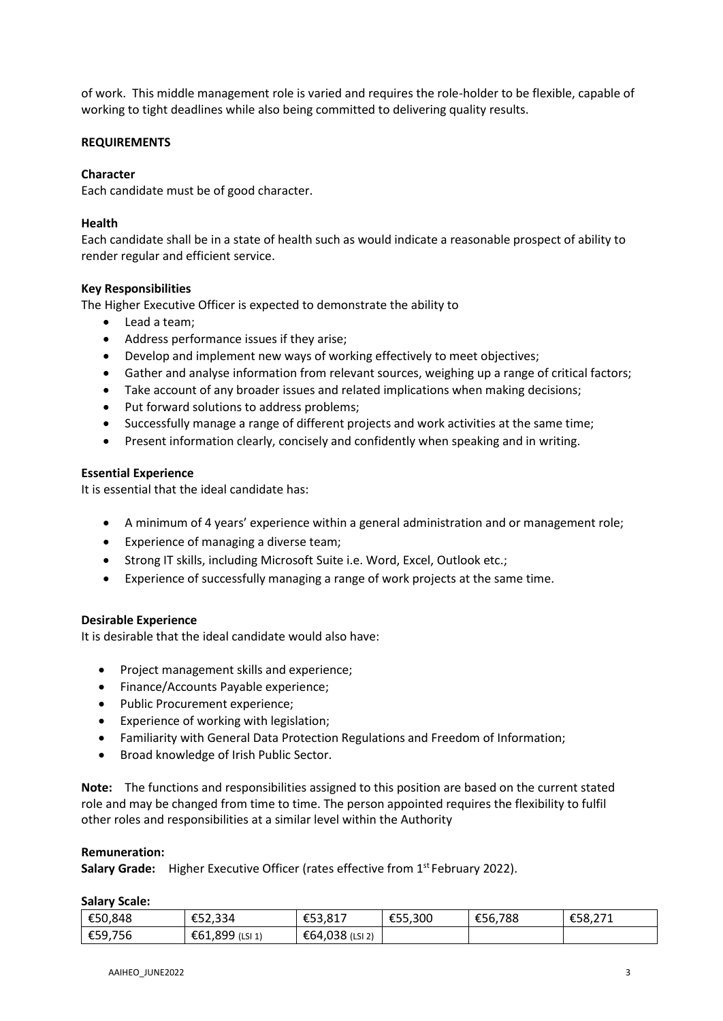of work. This middle management role is varied and requires the role-holder to be flexible, capable of working to tight deadlines while also being committed to delivering quality results.

#### **REQUIREMENTS**

#### **Character**

Each candidate must be of good character.

#### **Health**

Each candidate shall be in a state of health such as would indicate a reasonable prospect of ability to render regular and efficient service.

### **Key Responsibilities**

The Higher Executive Officer is expected to demonstrate the ability to

- Lead a team;
- Address performance issues if they arise;
- Develop and implement new ways of working effectively to meet objectives;
- Gather and analyse information from relevant sources, weighing up a range of critical factors;
- Take account of any broader issues and related implications when making decisions;
- Put forward solutions to address problems;
- Successfully manage a range of different projects and work activities at the same time;
- Present information clearly, concisely and confidently when speaking and in writing.

#### **Essential Experience**

It is essential that the ideal candidate has:

- A minimum of 4 years' experience within a general administration and or management role;
- Experience of managing a diverse team;
- Strong IT skills, including Microsoft Suite i.e. Word, Excel, Outlook etc.;
- Experience of successfully managing a range of work projects at the same time.

#### **Desirable Experience**

It is desirable that the ideal candidate would also have:

- Project management skills and experience;
- Finance/Accounts Payable experience;
- Public Procurement experience;
- Experience of working with legislation;
- Familiarity with General Data Protection Regulations and Freedom of Information;
- Broad knowledge of Irish Public Sector.

**Note:** The functions and responsibilities assigned to this position are based on the current stated role and may be changed from time to time. The person appointed requires the flexibility to fulfil other roles and responsibilities at a similar level within the Authority

#### **Remuneration:**

Salary Grade: Higher Executive Officer (rates effective from 1<sup>st</sup> February 2022).

#### **Salary Scale:**

| €50,848 | €52,334            | $F0$ 017<br>.<br>LJJ,OL, | €55,300 | €56,788 | $\sim$ $\sim$ $\sim$<br>rr 0.<br>£58,271 |
|---------|--------------------|--------------------------|---------|---------|------------------------------------------|
| €59,756 | €61,899<br>(LSI 1) | €64,038 (LSI 2)          |         |         |                                          |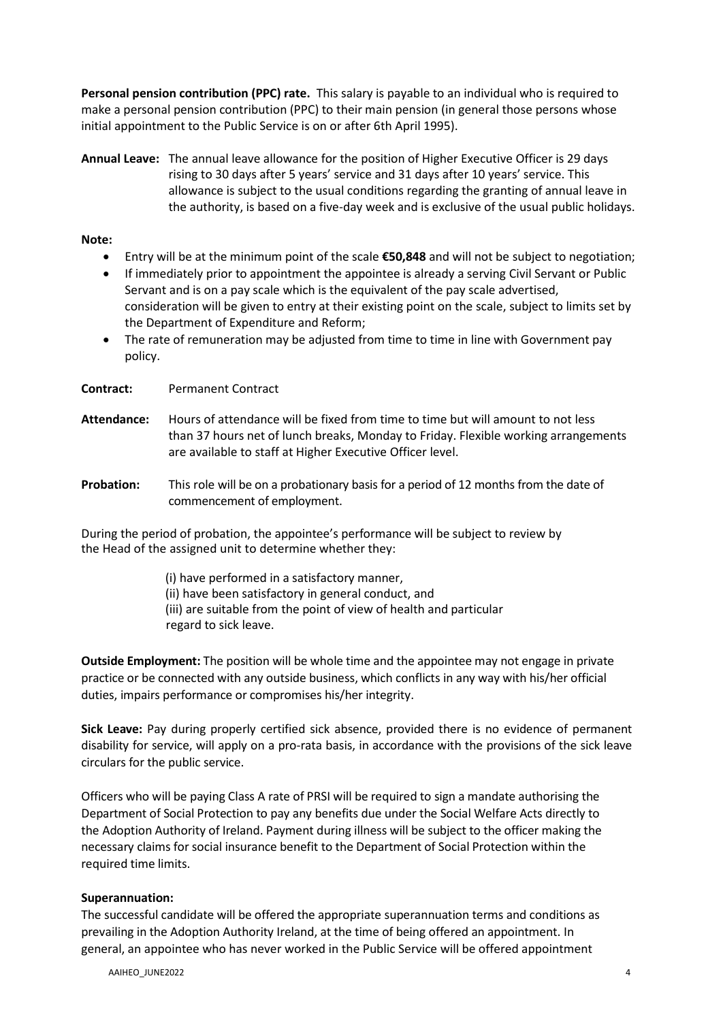**Personal pension contribution (PPC) rate.** This salary is payable to an individual who is required to make a personal pension contribution (PPC) to their main pension (in general those persons whose initial appointment to the Public Service is on or after 6th April 1995).

**Annual Leave:** The annual leave allowance for the position of Higher Executive Officer is 29 days rising to 30 days after 5 years' service and 31 days after 10 years' service. This allowance is subject to the usual conditions regarding the granting of annual leave in the authority, is based on a five-day week and is exclusive of the usual public holidays.

#### **Note:**

- Entry will be at the minimum point of the scale **€50,848** and will not be subject to negotiation;
- If immediately prior to appointment the appointee is already a serving Civil Servant or Public Servant and is on a pay scale which is the equivalent of the pay scale advertised, consideration will be given to entry at their existing point on the scale, subject to limits set by the Department of Expenditure and Reform;
- The rate of remuneration may be adjusted from time to time in line with Government pay policy.

**Contract:** Permanent Contract

- **Attendance:** Hours of attendance will be fixed from time to time but will amount to not less than 37 hours net of lunch breaks, Monday to Friday. Flexible working arrangements are available to staff at Higher Executive Officer level.
- **Probation:** This role will be on a probationary basis for a period of 12 months from the date of commencement of employment.

During the period of probation, the appointee's performance will be subject to review by the Head of the assigned unit to determine whether they:

> (i) have performed in a satisfactory manner, (ii) have been satisfactory in general conduct, and (iii) are suitable from the point of view of health and particular regard to sick leave.

**Outside Employment:** The position will be whole time and the appointee may not engage in private practice or be connected with any outside business, which conflicts in any way with his/her official duties, impairs performance or compromises his/her integrity.

**Sick Leave:** Pay during properly certified sick absence, provided there is no evidence of permanent disability for service, will apply on a pro-rata basis, in accordance with the provisions of the sick leave circulars for the public service.

Officers who will be paying Class A rate of PRSI will be required to sign a mandate authorising the Department of Social Protection to pay any benefits due under the Social Welfare Acts directly to the Adoption Authority of Ireland. Payment during illness will be subject to the officer making the necessary claims for social insurance benefit to the Department of Social Protection within the required time limits.

#### **Superannuation:**

The successful candidate will be offered the appropriate superannuation terms and conditions as prevailing in the Adoption Authority Ireland, at the time of being offered an appointment. In general, an appointee who has never worked in the Public Service will be offered appointment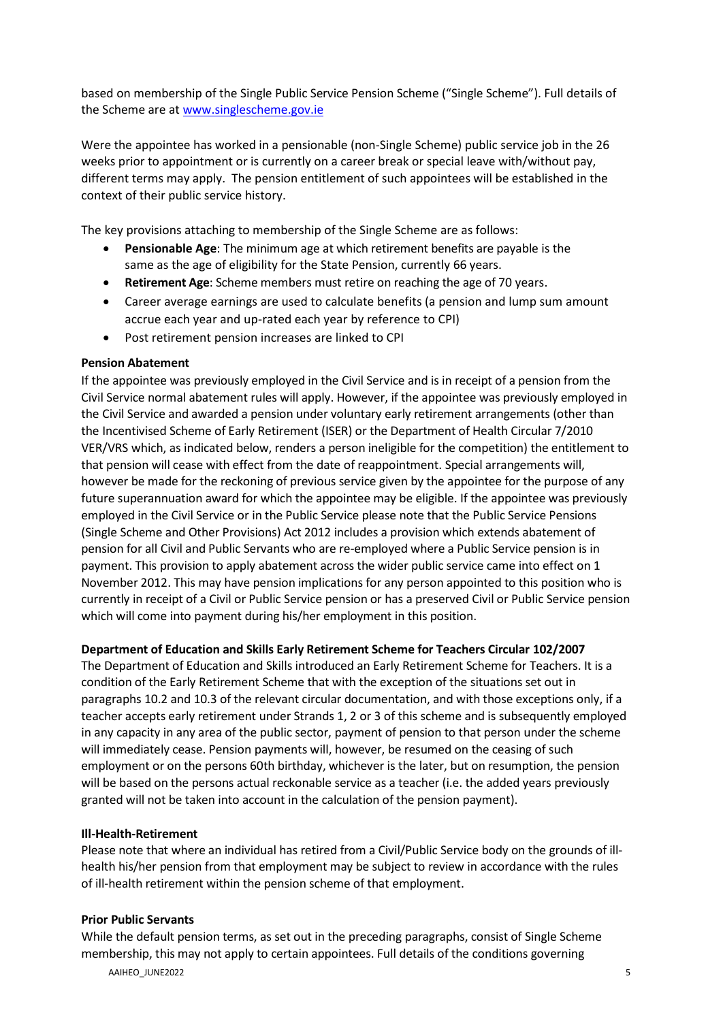based on membership of the Single Public Service Pension Scheme ("Single Scheme"). Full details of the Scheme are a[t www.singlescheme.gov.ie](http://www.singlescheme.gov.ie/)

Were the appointee has worked in a pensionable (non-Single Scheme) public service job in the 26 weeks prior to appointment or is currently on a career break or special leave with/without pay, different terms may apply. The pension entitlement of such appointees will be established in the context of their public service history.

The key provisions attaching to membership of the Single Scheme are as follows:

- **Pensionable Age**: The minimum age at which retirement benefits are payable is the same as the age of eligibility for the State Pension, currently 66 years.
- **Retirement Age**: Scheme members must retire on reaching the age of 70 years.
- Career average earnings are used to calculate benefits (a pension and lump sum amount accrue each year and up-rated each year by reference to CPI)
- Post retirement pension increases are linked to CPI

#### **Pension Abatement**

If the appointee was previously employed in the Civil Service and is in receipt of a pension from the Civil Service normal abatement rules will apply. However, if the appointee was previously employed in the Civil Service and awarded a pension under voluntary early retirement arrangements (other than the Incentivised Scheme of Early Retirement (ISER) or the Department of Health Circular 7/2010 VER/VRS which, as indicated below, renders a person ineligible for the competition) the entitlement to that pension will cease with effect from the date of reappointment. Special arrangements will, however be made for the reckoning of previous service given by the appointee for the purpose of any future superannuation award for which the appointee may be eligible. If the appointee was previously employed in the Civil Service or in the Public Service please note that the Public Service Pensions (Single Scheme and Other Provisions) Act 2012 includes a provision which extends abatement of pension for all Civil and Public Servants who are re-employed where a Public Service pension is in payment. This provision to apply abatement across the wider public service came into effect on 1 November 2012. This may have pension implications for any person appointed to this position who is currently in receipt of a Civil or Public Service pension or has a preserved Civil or Public Service pension which will come into payment during his/her employment in this position.

#### **Department of Education and Skills Early Retirement Scheme for Teachers Circular 102/2007**

The Department of Education and Skills introduced an Early Retirement Scheme for Teachers. It is a condition of the Early Retirement Scheme that with the exception of the situations set out in paragraphs 10.2 and 10.3 of the relevant circular documentation, and with those exceptions only, if a teacher accepts early retirement under Strands 1, 2 or 3 of this scheme and is subsequently employed in any capacity in any area of the public sector, payment of pension to that person under the scheme will immediately cease. Pension payments will, however, be resumed on the ceasing of such employment or on the persons 60th birthday, whichever is the later, but on resumption, the pension will be based on the persons actual reckonable service as a teacher (i.e. the added years previously granted will not be taken into account in the calculation of the pension payment).

#### **Ill-Health-Retirement**

Please note that where an individual has retired from a Civil/Public Service body on the grounds of illhealth his/her pension from that employment may be subject to review in accordance with the rules of ill-health retirement within the pension scheme of that employment.

#### **Prior Public Servants**

AAIHEO\_JUNE2022 55 September 2022 5 While the default pension terms, as set out in the preceding paragraphs, consist of Single Scheme membership, this may not apply to certain appointees. Full details of the conditions governing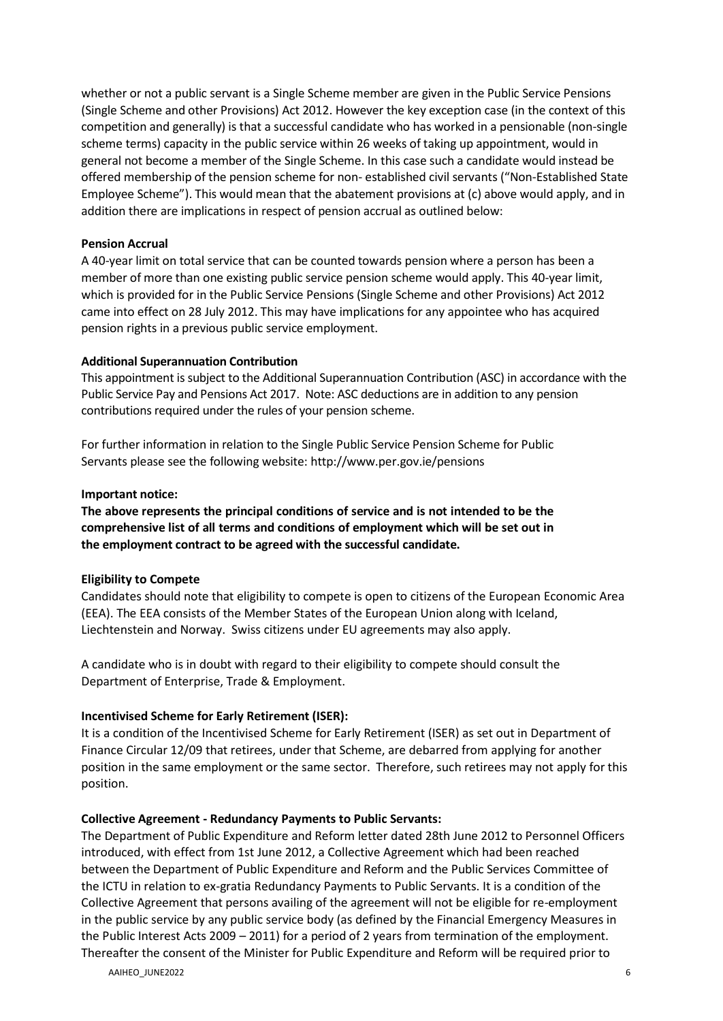whether or not a public servant is a Single Scheme member are given in the Public Service Pensions (Single Scheme and other Provisions) Act 2012. However the key exception case (in the context of this competition and generally) is that a successful candidate who has worked in a pensionable (non-single scheme terms) capacity in the public service within 26 weeks of taking up appointment, would in general not become a member of the Single Scheme. In this case such a candidate would instead be offered membership of the pension scheme for non- established civil servants ("Non-Established State Employee Scheme"). This would mean that the abatement provisions at (c) above would apply, and in addition there are implications in respect of pension accrual as outlined below:

#### **Pension Accrual**

A 40-year limit on total service that can be counted towards pension where a person has been a member of more than one existing public service pension scheme would apply. This 40-year limit, which is provided for in the Public Service Pensions (Single Scheme and other Provisions) Act 2012 came into effect on 28 July 2012. This may have implications for any appointee who has acquired pension rights in a previous public service employment.

### **Additional Superannuation Contribution**

This appointment is subject to the Additional Superannuation Contribution (ASC) in accordance with the Public Service Pay and Pensions Act 2017. Note: ASC deductions are in addition to any pension contributions required under the rules of your pension scheme.

For further information in relation to the Single Public Service Pension Scheme for Public Servants please see the following website: <http://www.per.gov.ie/pensions>

#### **Important notice:**

**The above represents the principal conditions of service and is not intended to be the comprehensive list of all terms and conditions of employment which will be set out in the employment contract to be agreed with the successful candidate.**

## **Eligibility to Compete**

Candidates should note that eligibility to compete is open to citizens of the European Economic Area (EEA). The EEA consists of the Member States of the European Union along with Iceland, Liechtenstein and Norway. Swiss citizens under EU agreements may also apply.

A candidate who is in doubt with regard to their eligibility to compete should consult the Department of Enterprise, Trade & Employment.

## **Incentivised Scheme for Early Retirement (ISER):**

It is a condition of the Incentivised Scheme for Early Retirement (ISER) as set out in Department of Finance Circular 12/09 that retirees, under that Scheme, are debarred from applying for another position in the same employment or the same sector. Therefore, such retirees may not apply for this position.

#### **Collective Agreement - Redundancy Payments to Public Servants:**

The Department of Public Expenditure and Reform letter dated 28th June 2012 to Personnel Officers introduced, with effect from 1st June 2012, a Collective Agreement which had been reached between the Department of Public Expenditure and Reform and the Public Services Committee of the ICTU in relation to ex-gratia Redundancy Payments to Public Servants. It is a condition of the Collective Agreement that persons availing of the agreement will not be eligible for re-employment in the public service by any public service body (as defined by the Financial Emergency Measures in the Public Interest Acts 2009 – 2011) for a period of 2 years from termination of the employment. Thereafter the consent of the Minister for Public Expenditure and Reform will be required prior to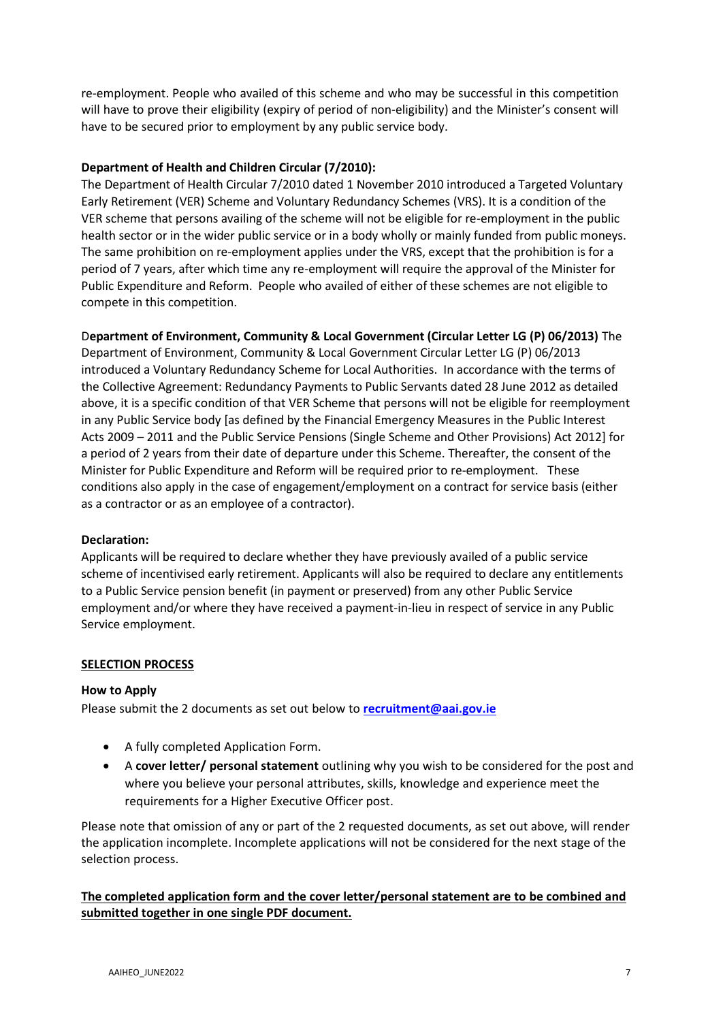re-employment. People who availed of this scheme and who may be successful in this competition will have to prove their eligibility (expiry of period of non-eligibility) and the Minister's consent will have to be secured prior to employment by any public service body.

### **Department of Health and Children Circular (7/2010):**

The Department of Health Circular 7/2010 dated 1 November 2010 introduced a Targeted Voluntary Early Retirement (VER) Scheme and Voluntary Redundancy Schemes (VRS). It is a condition of the VER scheme that persons availing of the scheme will not be eligible for re-employment in the public health sector or in the wider public service or in a body wholly or mainly funded from public moneys. The same prohibition on re-employment applies under the VRS, except that the prohibition is for a period of 7 years, after which time any re-employment will require the approval of the Minister for Public Expenditure and Reform. People who availed of either of these schemes are not eligible to compete in this competition.

D**epartment of Environment, Community & Local Government (Circular Letter LG (P) 06/2013)** The

Department of Environment, Community & Local Government Circular Letter LG (P) 06/2013 introduced a Voluntary Redundancy Scheme for Local Authorities. In accordance with the terms of the Collective Agreement: Redundancy Payments to Public Servants dated 28 June 2012 as detailed above, it is a specific condition of that VER Scheme that persons will not be eligible for reemployment in any Public Service body [as defined by the Financial Emergency Measures in the Public Interest Acts 2009 – 2011 and the Public Service Pensions (Single Scheme and Other Provisions) Act 2012] for a period of 2 years from their date of departure under this Scheme. Thereafter, the consent of the Minister for Public Expenditure and Reform will be required prior to re-employment. These conditions also apply in the case of engagement/employment on a contract for service basis (either as a contractor or as an employee of a contractor).

#### **Declaration:**

Applicants will be required to declare whether they have previously availed of a public service scheme of incentivised early retirement. Applicants will also be required to declare any entitlements to a Public Service pension benefit (in payment or preserved) from any other Public Service employment and/or where they have received a payment-in-lieu in respect of service in any Public Service employment.

#### **SELECTION PROCESS**

#### **How to Apply**

Please submit the 2 documents as set out below to **[recruitment@aai.gov.ie](mailto:recruitment@aai.gov.ie)**

- A fully completed Application Form.
- A **cover letter/ personal statement** outlining why you wish to be considered for the post and where you believe your personal attributes, skills, knowledge and experience meet the requirements for a Higher Executive Officer post.

Please note that omission of any or part of the 2 requested documents, as set out above, will render the application incomplete. Incomplete applications will not be considered for the next stage of the selection process.

**The completed application form and the cover letter/personal statement are to be combined and submitted together in one single PDF document.**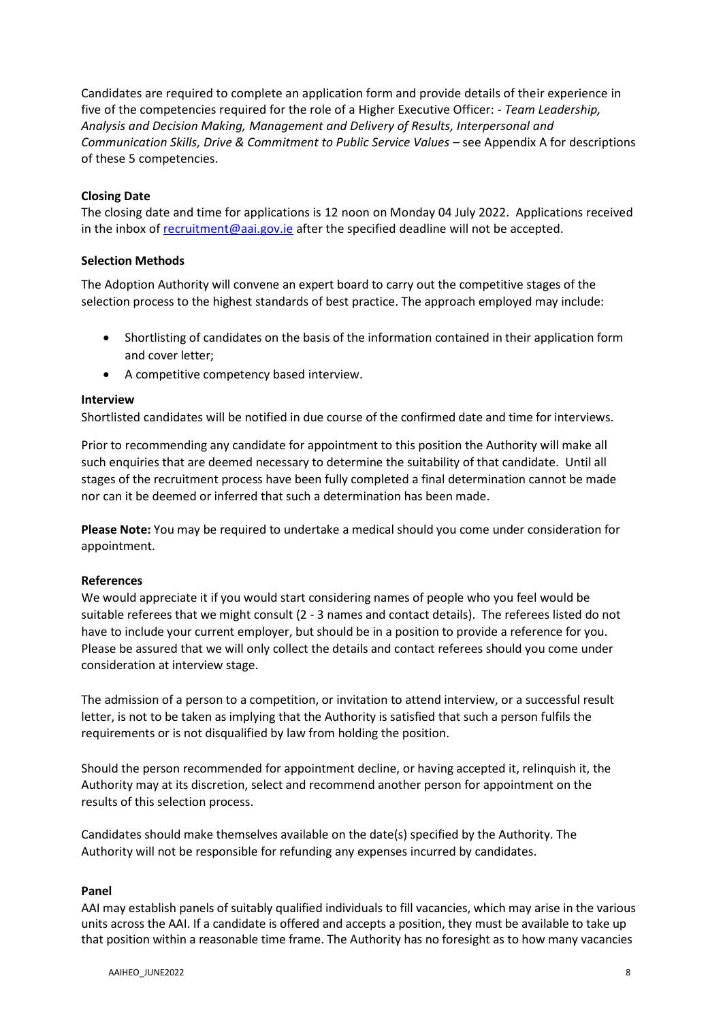Candidates are required to complete an application form and provide details of their experience in five of the competencies required for the role of a Higher Executive Officer: - *Team Leadership, Analysis and Decision Making, Management and Delivery of Results, Interpersonal and Communication Skills, Drive & Commitment to Public Service Values – see Appendix A for descriptions* of these 5 competencies.

#### **Closing Date**

The closing date and time for applications is 12 noon on Monday 04 July 2022. Applications received in the inbox of [recruitment@aai.gov.ie](mailto:recruitment@aai.gov.ie) after the specified deadline will not be accepted.

### **Selection Methods**

The Adoption Authority will convene an expert board to carry out the competitive stages of the selection process to the highest standards of best practice. The approach employed may include:

- Shortlisting of candidates on the basis of the information contained in their application form and cover letter;
- A competitive competency based interview.

#### **Interview**

Shortlisted candidates will be notified in due course of the confirmed date and time for interviews.

Prior to recommending any candidate for appointment to this position the Authority will make all such enquiries that are deemed necessary to determine the suitability of that candidate. Until all stages of the recruitment process have been fully completed a final determination cannot be made nor can it be deemed or inferred that such a determination has been made.

**Please Note:** You may be required to undertake a medical should you come under consideration for appointment.

#### **References**

We would appreciate it if you would start considering names of people who you feel would be suitable referees that we might consult (2 - 3 names and contact details). The referees listed do not have to include your current employer, but should be in a position to provide a reference for you. Please be assured that we will only collect the details and contact referees should you come under consideration at interview stage.

The admission of a person to a competition, or invitation to attend interview, or a successful result letter, is not to be taken as implying that the Authority is satisfied that such a person fulfils the requirements or is not disqualified by law from holding the position.

Should the person recommended for appointment decline, or having accepted it, relinquish it, the Authority may at its discretion, select and recommend another person for appointment on the results of this selection process.

Candidates should make themselves available on the date(s) specified by the Authority. The Authority will not be responsible for refunding any expenses incurred by candidates.

#### **Panel**

AAI may establish panels of suitably qualified individuals to fill vacancies, which may arise in the various units across the AAI. If a candidate is offered and accepts a position, they must be available to take up that position within a reasonable time frame. The Authority has no foresight as to how many vacancies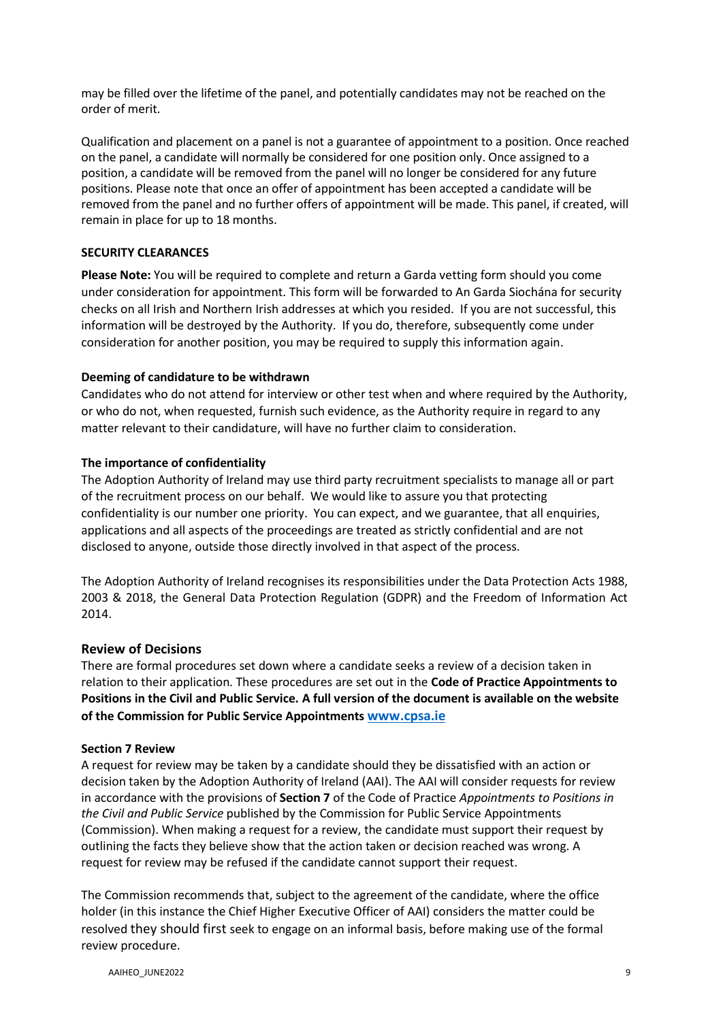may be filled over the lifetime of the panel, and potentially candidates may not be reached on the order of merit.

Qualification and placement on a panel is not a guarantee of appointment to a position. Once reached on the panel, a candidate will normally be considered for one position only. Once assigned to a position, a candidate will be removed from the panel will no longer be considered for any future positions. Please note that once an offer of appointment has been accepted a candidate will be removed from the panel and no further offers of appointment will be made. This panel, if created, will remain in place for up to 18 months.

#### **SECURITY CLEARANCES**

**Please Note:** You will be required to complete and return a Garda vetting form should you come under consideration for appointment. This form will be forwarded to An Garda Siochána for security checks on all Irish and Northern Irish addresses at which you resided. If you are not successful, this information will be destroyed by the Authority. If you do, therefore, subsequently come under consideration for another position, you may be required to supply this information again.

#### **Deeming of candidature to be withdrawn**

Candidates who do not attend for interview or other test when and where required by the Authority, or who do not, when requested, furnish such evidence, as the Authority require in regard to any matter relevant to their candidature, will have no further claim to consideration.

### **The importance of confidentiality**

The Adoption Authority of Ireland may use third party recruitment specialists to manage all or part of the recruitment process on our behalf. We would like to assure you that protecting confidentiality is our number one priority. You can expect, and we guarantee, that all enquiries, applications and all aspects of the proceedings are treated as strictly confidential and are not disclosed to anyone, outside those directly involved in that aspect of the process.

The Adoption Authority of Ireland recognises its responsibilities under the Data Protection Acts 1988, 2003 & 2018, the General Data Protection Regulation (GDPR) and the Freedom of Information Act 2014.

#### **Review of Decisions**

There are formal procedures set down where a candidate seeks a review of a decision taken in relation to their application. These procedures are set out in the **Code of Practice Appointments to Positions in the Civil and Public Service. A full version of the document is available on the website of the Commission for Public Service Appointments [www.cpsa.ie](http://www.cpsa.ie/)**

#### **Section 7 Review**

A request for review may be taken by a candidate should they be dissatisfied with an action or decision taken by the Adoption Authority of Ireland (AAI). The AAI will consider requests for review in accordance with the provisions of **Section 7** of the Code of Practice *Appointments to Positions in the Civil and Public Service* published by the Commission for Public Service Appointments (Commission). When making a request for a review, the candidate must support their request by outlining the facts they believe show that the action taken or decision reached was wrong. A request for review may be refused if the candidate cannot support their request.

The Commission recommends that, subject to the agreement of the candidate, where the office holder (in this instance the Chief Higher Executive Officer of AAI) considers the matter could be resolved they should first seek to engage on an informal basis, before making use of the formal review procedure.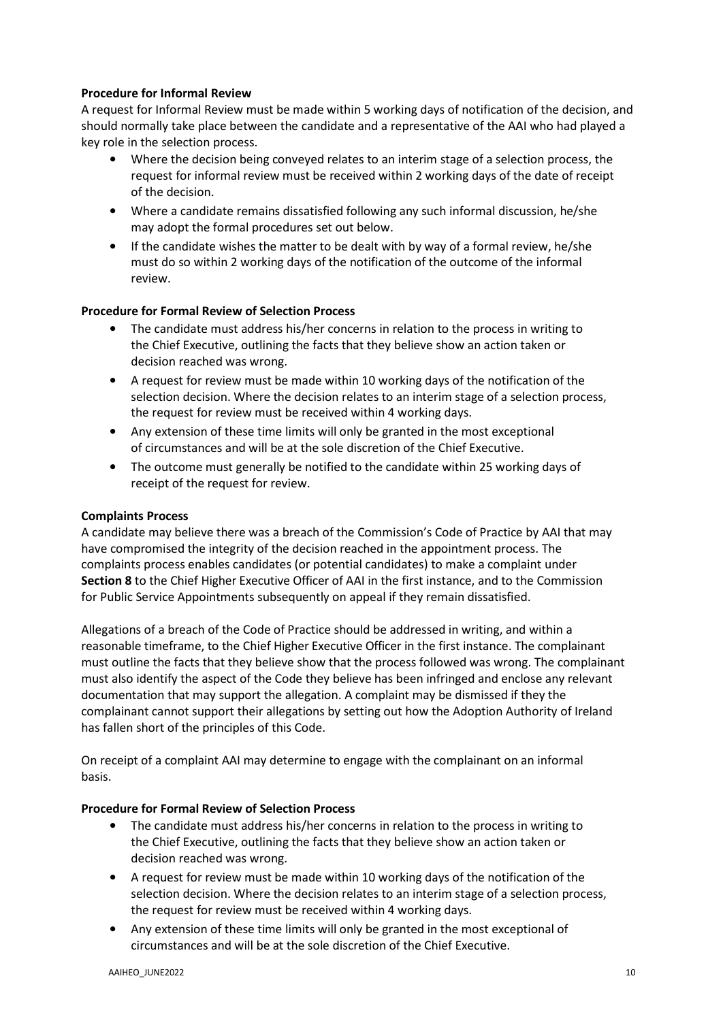### **Procedure for Informal Review**

A request for Informal Review must be made within 5 working days of notification of the decision, and should normally take place between the candidate and a representative of the AAI who had played a key role in the selection process.

- Where the decision being conveyed relates to an interim stage of a selection process, the request for informal review must be received within 2 working days of the date of receipt of the decision.
- Where a candidate remains dissatisfied following any such informal discussion, he/she may adopt the formal procedures set out below.
- If the candidate wishes the matter to be dealt with by way of a formal review, he/she must do so within 2 working days of the notification of the outcome of the informal review.

#### **Procedure for Formal Review of Selection Process**

- The candidate must address his/her concerns in relation to the process in writing to the Chief Executive, outlining the facts that they believe show an action taken or decision reached was wrong.
- A request for review must be made within 10 working days of the notification of the selection decision. Where the decision relates to an interim stage of a selection process, the request for review must be received within 4 working days.
- Any extension of these time limits will only be granted in the most exceptional of circumstances and will be at the sole discretion of the Chief Executive.
- The outcome must generally be notified to the candidate within 25 working days of receipt of the request for review.

#### **Complaints Process**

A candidate may believe there was a breach of the Commission's Code of Practice by AAI that may have compromised the integrity of the decision reached in the appointment process. The complaints process enables candidates (or potential candidates) to make a complaint under **Section 8** to the Chief Higher Executive Officer of AAI in the first instance, and to the Commission for Public Service Appointments subsequently on appeal if they remain dissatisfied.

Allegations of a breach of the Code of Practice should be addressed in writing, and within a reasonable timeframe, to the Chief Higher Executive Officer in the first instance. The complainant must outline the facts that they believe show that the process followed was wrong. The complainant must also identify the aspect of the Code they believe has been infringed and enclose any relevant documentation that may support the allegation. A complaint may be dismissed if they the complainant cannot support their allegations by setting out how the Adoption Authority of Ireland has fallen short of the principles of this Code.

On receipt of a complaint AAI may determine to engage with the complainant on an informal basis.

#### **Procedure for Formal Review of Selection Process**

- The candidate must address his/her concerns in relation to the process in writing to the Chief Executive, outlining the facts that they believe show an action taken or decision reached was wrong.
- A request for review must be made within 10 working days of the notification of the selection decision. Where the decision relates to an interim stage of a selection process, the request for review must be received within 4 working days.
- Any extension of these time limits will only be granted in the most exceptional of circumstances and will be at the sole discretion of the Chief Executive.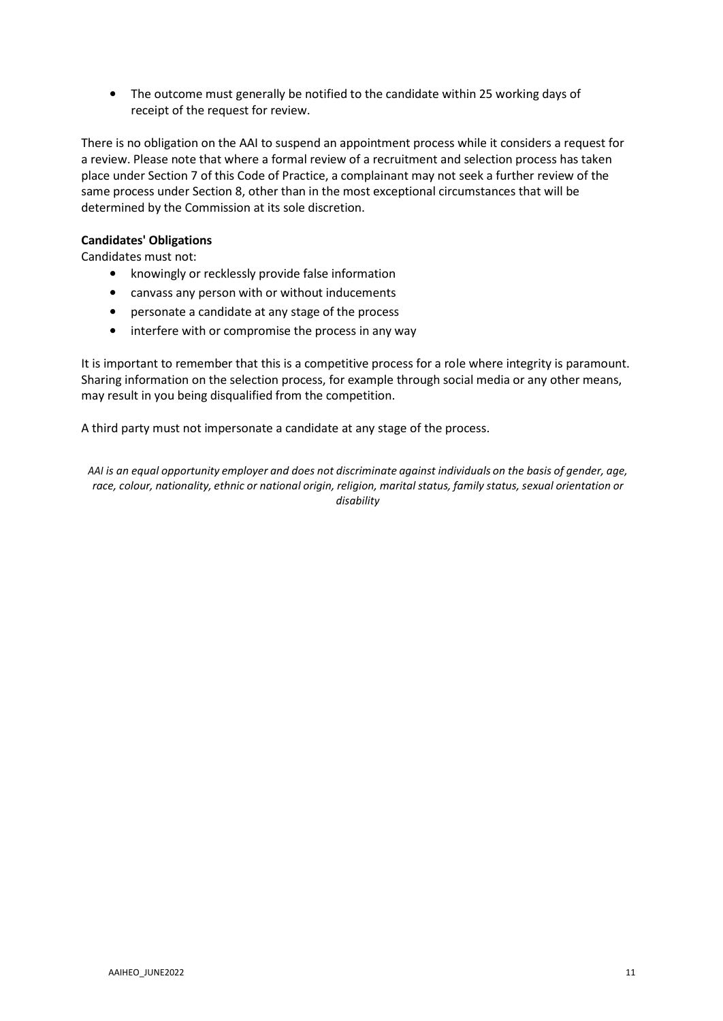• The outcome must generally be notified to the candidate within 25 working days of receipt of the request for review.

There is no obligation on the AAI to suspend an appointment process while it considers a request for a review. Please note that where a formal review of a recruitment and selection process has taken place under Section 7 of this Code of Practice, a complainant may not seek a further review of the same process under Section 8, other than in the most exceptional circumstances that will be determined by the Commission at its sole discretion.

### **Candidates' Obligations**

Candidates must not:

- knowingly or recklessly provide false information
- canvass any person with or without inducements
- personate a candidate at any stage of the process
- interfere with or compromise the process in any way

It is important to remember that this is a competitive process for a role where integrity is paramount. Sharing information on the selection process, for example through social media or any other means, may result in you being disqualified from the competition.

A third party must not impersonate a candidate at any stage of the process.

AAI is an equal opportunity employer and does not discriminate against individuals on the basis of gender, age, *race, colour, nationality, ethnic or national origin, religion, marital status, family status, sexual orientation or disability*